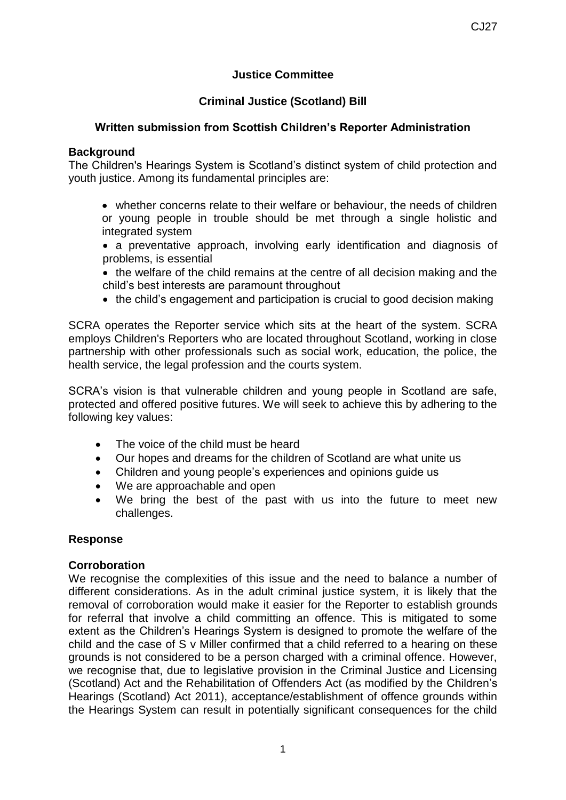# **Justice Committee**

# **Criminal Justice (Scotland) Bill**

## **Written submission from Scottish Children's Reporter Administration**

### **Background**

The Children's Hearings System is Scotland's distinct system of child protection and youth justice. Among its fundamental principles are:

- whether concerns relate to their welfare or behaviour, the needs of children or young people in trouble should be met through a single holistic and integrated system
- a preventative approach, involving early identification and diagnosis of problems, is essential
- the welfare of the child remains at the centre of all decision making and the child's best interests are paramount throughout
- the child's engagement and participation is crucial to good decision making

SCRA operates the Reporter service which sits at the heart of the system. SCRA employs Children's Reporters who are located throughout Scotland, working in close partnership with other professionals such as social work, education, the police, the health service, the legal profession and the courts system.

SCRA's vision is that vulnerable children and young people in Scotland are safe, protected and offered positive futures. We will seek to achieve this by adhering to the following key values:

- The voice of the child must be heard
- Our hopes and dreams for the children of Scotland are what unite us
- Children and young people's experiences and opinions guide us
- We are approachable and open
- We bring the best of the past with us into the future to meet new challenges.

#### **Response**

#### **Corroboration**

We recognise the complexities of this issue and the need to balance a number of different considerations. As in the adult criminal justice system, it is likely that the removal of corroboration would make it easier for the Reporter to establish grounds for referral that involve a child committing an offence. This is mitigated to some extent as the Children's Hearings System is designed to promote the welfare of the child and the case of S v Miller confirmed that a child referred to a hearing on these grounds is not considered to be a person charged with a criminal offence. However, we recognise that, due to legislative provision in the Criminal Justice and Licensing (Scotland) Act and the Rehabilitation of Offenders Act (as modified by the Children's Hearings (Scotland) Act 2011), acceptance/establishment of offence grounds within the Hearings System can result in potentially significant consequences for the child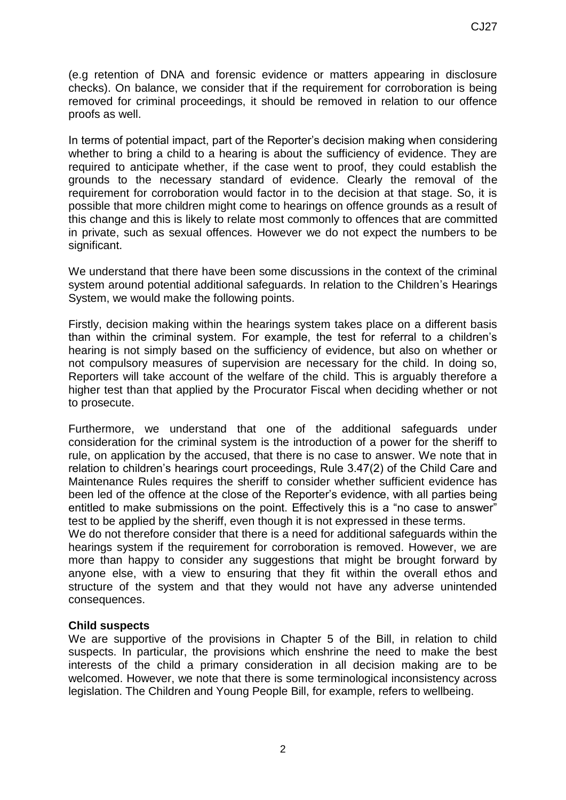(e.g retention of DNA and forensic evidence or matters appearing in disclosure checks). On balance, we consider that if the requirement for corroboration is being removed for criminal proceedings, it should be removed in relation to our offence proofs as well.

In terms of potential impact, part of the Reporter's decision making when considering whether to bring a child to a hearing is about the sufficiency of evidence. They are required to anticipate whether, if the case went to proof, they could establish the grounds to the necessary standard of evidence. Clearly the removal of the requirement for corroboration would factor in to the decision at that stage. So, it is possible that more children might come to hearings on offence grounds as a result of this change and this is likely to relate most commonly to offences that are committed in private, such as sexual offences. However we do not expect the numbers to be significant.

We understand that there have been some discussions in the context of the criminal system around potential additional safeguards. In relation to the Children's Hearings System, we would make the following points.

Firstly, decision making within the hearings system takes place on a different basis than within the criminal system. For example, the test for referral to a children's hearing is not simply based on the sufficiency of evidence, but also on whether or not compulsory measures of supervision are necessary for the child. In doing so, Reporters will take account of the welfare of the child. This is arguably therefore a higher test than that applied by the Procurator Fiscal when deciding whether or not to prosecute.

Furthermore, we understand that one of the additional safeguards under consideration for the criminal system is the introduction of a power for the sheriff to rule, on application by the accused, that there is no case to answer. We note that in relation to children's hearings court proceedings, Rule 3.47(2) of the Child Care and Maintenance Rules requires the sheriff to consider whether sufficient evidence has been led of the offence at the close of the Reporter's evidence, with all parties being entitled to make submissions on the point. Effectively this is a "no case to answer" test to be applied by the sheriff, even though it is not expressed in these terms.

We do not therefore consider that there is a need for additional safeguards within the hearings system if the requirement for corroboration is removed. However, we are more than happy to consider any suggestions that might be brought forward by anyone else, with a view to ensuring that they fit within the overall ethos and structure of the system and that they would not have any adverse unintended consequences.

#### **Child suspects**

We are supportive of the provisions in Chapter 5 of the Bill, in relation to child suspects. In particular, the provisions which enshrine the need to make the best interests of the child a primary consideration in all decision making are to be welcomed. However, we note that there is some terminological inconsistency across legislation. The Children and Young People Bill, for example, refers to wellbeing.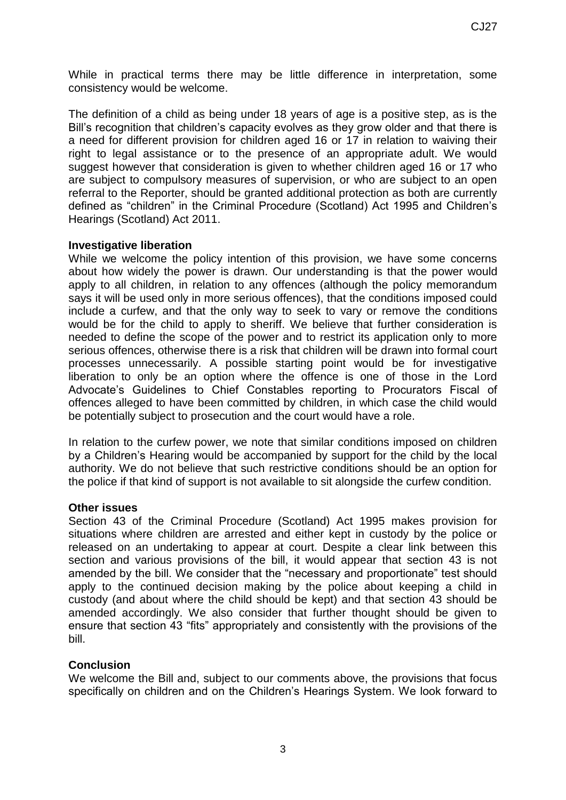While in practical terms there may be little difference in interpretation, some consistency would be welcome.

The definition of a child as being under 18 years of age is a positive step, as is the Bill's recognition that children's capacity evolves as they grow older and that there is a need for different provision for children aged 16 or 17 in relation to waiving their right to legal assistance or to the presence of an appropriate adult. We would suggest however that consideration is given to whether children aged 16 or 17 who are subject to compulsory measures of supervision, or who are subject to an open referral to the Reporter, should be granted additional protection as both are currently defined as "children" in the Criminal Procedure (Scotland) Act 1995 and Children's Hearings (Scotland) Act 2011.

#### **Investigative liberation**

While we welcome the policy intention of this provision, we have some concerns about how widely the power is drawn. Our understanding is that the power would apply to all children, in relation to any offences (although the policy memorandum says it will be used only in more serious offences), that the conditions imposed could include a curfew, and that the only way to seek to vary or remove the conditions would be for the child to apply to sheriff. We believe that further consideration is needed to define the scope of the power and to restrict its application only to more serious offences, otherwise there is a risk that children will be drawn into formal court processes unnecessarily. A possible starting point would be for investigative liberation to only be an option where the offence is one of those in the Lord Advocate's Guidelines to Chief Constables reporting to Procurators Fiscal of offences alleged to have been committed by children, in which case the child would be potentially subject to prosecution and the court would have a role.

In relation to the curfew power, we note that similar conditions imposed on children by a Children's Hearing would be accompanied by support for the child by the local authority. We do not believe that such restrictive conditions should be an option for the police if that kind of support is not available to sit alongside the curfew condition.

#### **Other issues**

Section 43 of the Criminal Procedure (Scotland) Act 1995 makes provision for situations where children are arrested and either kept in custody by the police or released on an undertaking to appear at court. Despite a clear link between this section and various provisions of the bill, it would appear that section 43 is not amended by the bill. We consider that the "necessary and proportionate" test should apply to the continued decision making by the police about keeping a child in custody (and about where the child should be kept) and that section 43 should be amended accordingly. We also consider that further thought should be given to ensure that section 43 "fits" appropriately and consistently with the provisions of the bill.

### **Conclusion**

We welcome the Bill and, subject to our comments above, the provisions that focus specifically on children and on the Children's Hearings System. We look forward to